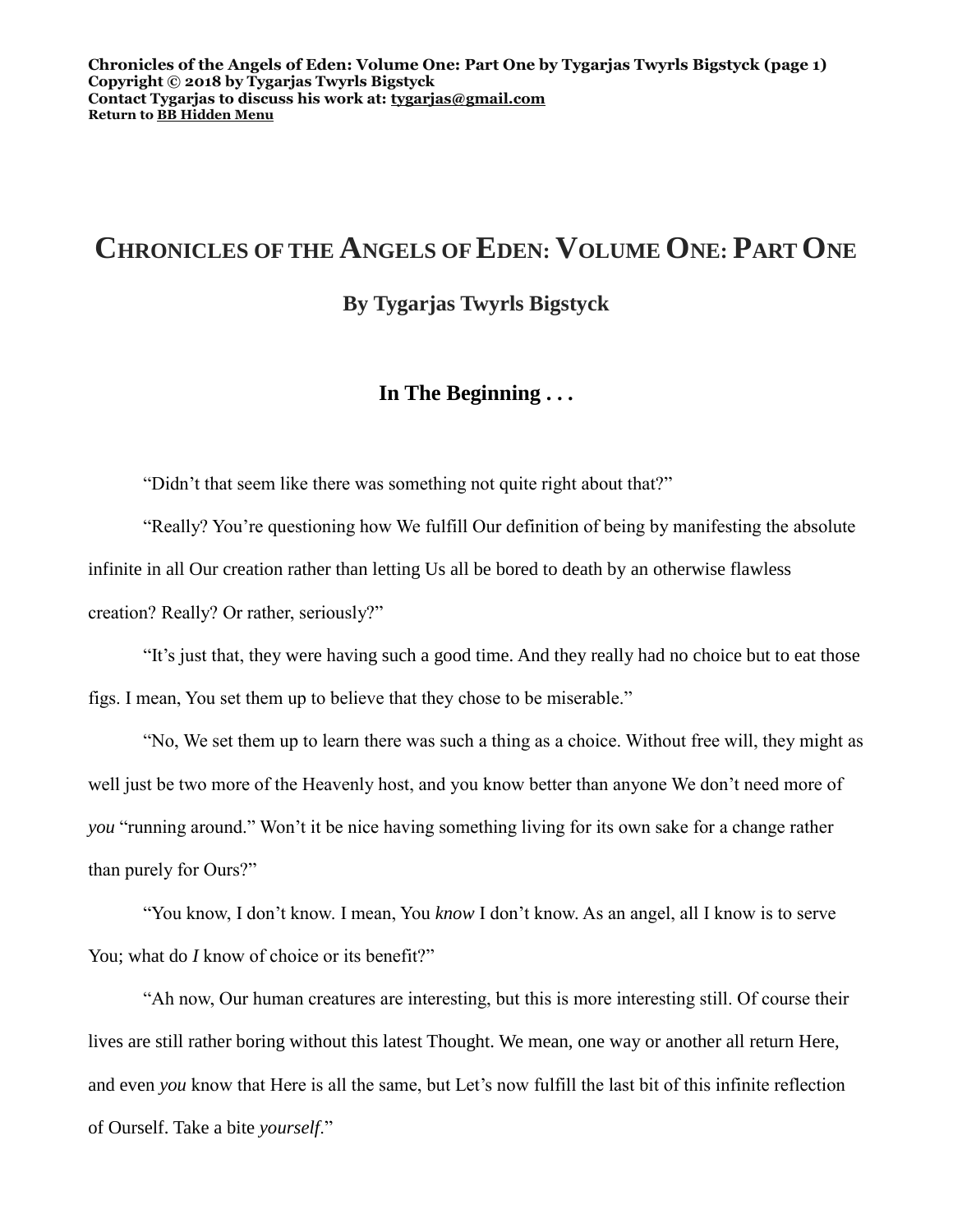# **CHRONICLES OF THE ANGELS OF EDEN: VOLUME ONE: PART ONE**

**By Tygarjas Twyrls Bigstyck**

## **In The Beginning . . .**

"Didn't that seem like there was something not quite right about that?"

"Really? You're questioning how We fulfill Our definition of being by manifesting the absolute infinite in all Our creation rather than letting Us all be bored to death by an otherwise flawless creation? Really? Or rather, seriously?"

"It's just that, they were having such a good time. And they really had no choice but to eat those figs. I mean, You set them up to believe that they chose to be miserable."

"No, We set them up to learn there was such a thing as a choice. Without free will, they might as well just be two more of the Heavenly host, and you know better than anyone We don't need more of *you* "running around." Won't it be nice having something living for its own sake for a change rather than purely for Ours?"

"You know, I don't know. I mean, You *know* I don't know. As an angel, all I know is to serve You; what do *I* know of choice or its benefit?"

"Ah now, Our human creatures are interesting, but this is more interesting still. Of course their lives are still rather boring without this latest Thought. We mean, one way or another all return Here, and even *you* know that Here is all the same, but Let's now fulfill the last bit of this infinite reflection of Ourself. Take a bite *yourself*."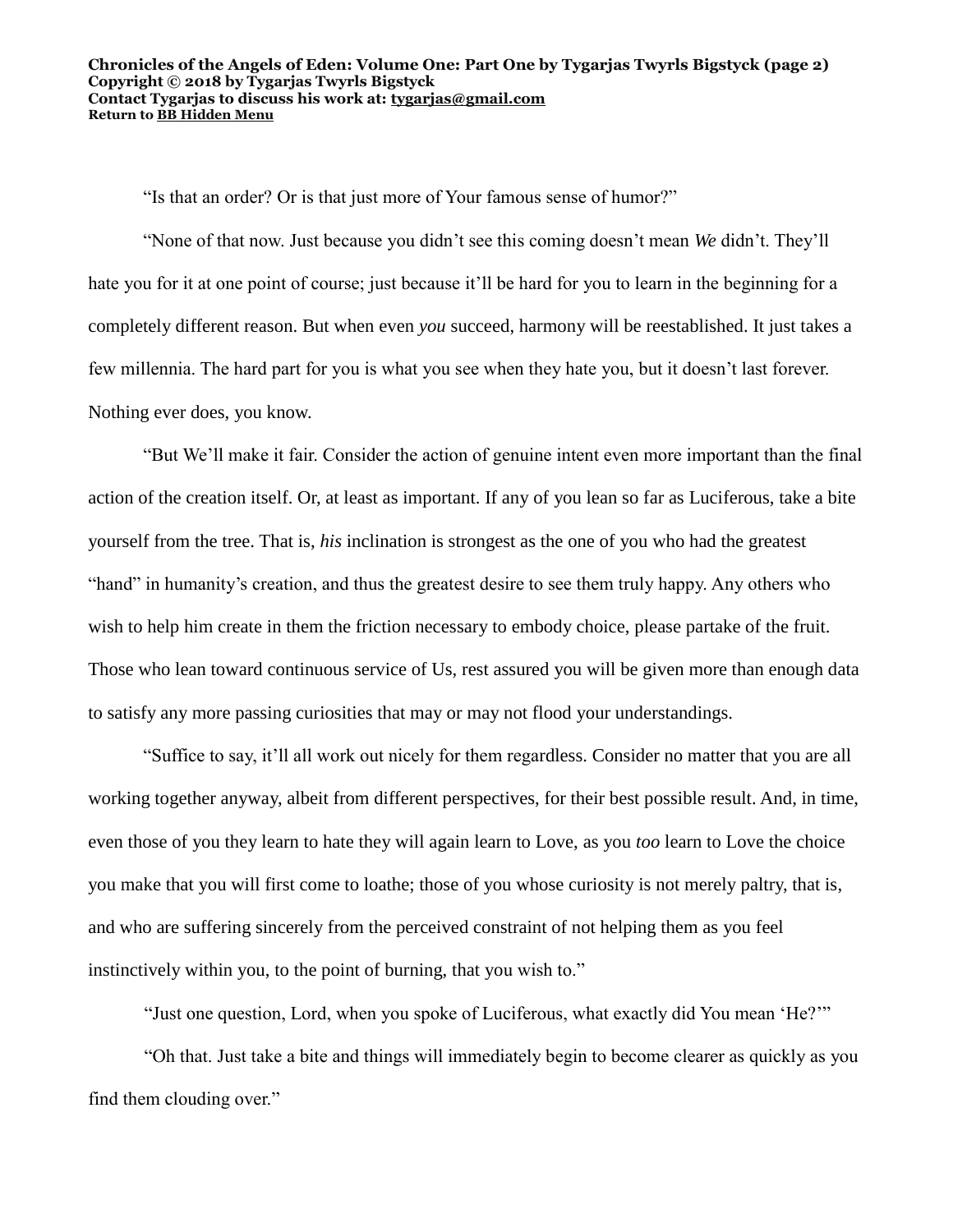"Is that an order? Or is that just more of Your famous sense of humor?"

"None of that now. Just because you didn't see this coming doesn't mean *We* didn't. They'll hate you for it at one point of course; just because it'll be hard for you to learn in the beginning for a completely different reason. But when even *you* succeed, harmony will be reestablished. It just takes a few millennia. The hard part for you is what you see when they hate you, but it doesn't last forever. Nothing ever does, you know.

"But We'll make it fair. Consider the action of genuine intent even more important than the final action of the creation itself. Or, at least as important. If any of you lean so far as Luciferous, take a bite yourself from the tree. That is, *his* inclination is strongest as the one of you who had the greatest "hand" in humanity's creation, and thus the greatest desire to see them truly happy. Any others who wish to help him create in them the friction necessary to embody choice, please partake of the fruit. Those who lean toward continuous service of Us, rest assured you will be given more than enough data to satisfy any more passing curiosities that may or may not flood your understandings.

"Suffice to say, it'll all work out nicely for them regardless. Consider no matter that you are all working together anyway, albeit from different perspectives, for their best possible result. And, in time, even those of you they learn to hate they will again learn to Love, as you *too* learn to Love the choice you make that you will first come to loathe; those of you whose curiosity is not merely paltry, that is, and who are suffering sincerely from the perceived constraint of not helping them as you feel instinctively within you, to the point of burning, that you wish to."

"Just one question, Lord, when you spoke of Luciferous, what exactly did You mean 'He?'"

"Oh that. Just take a bite and things will immediately begin to become clearer as quickly as you find them clouding over."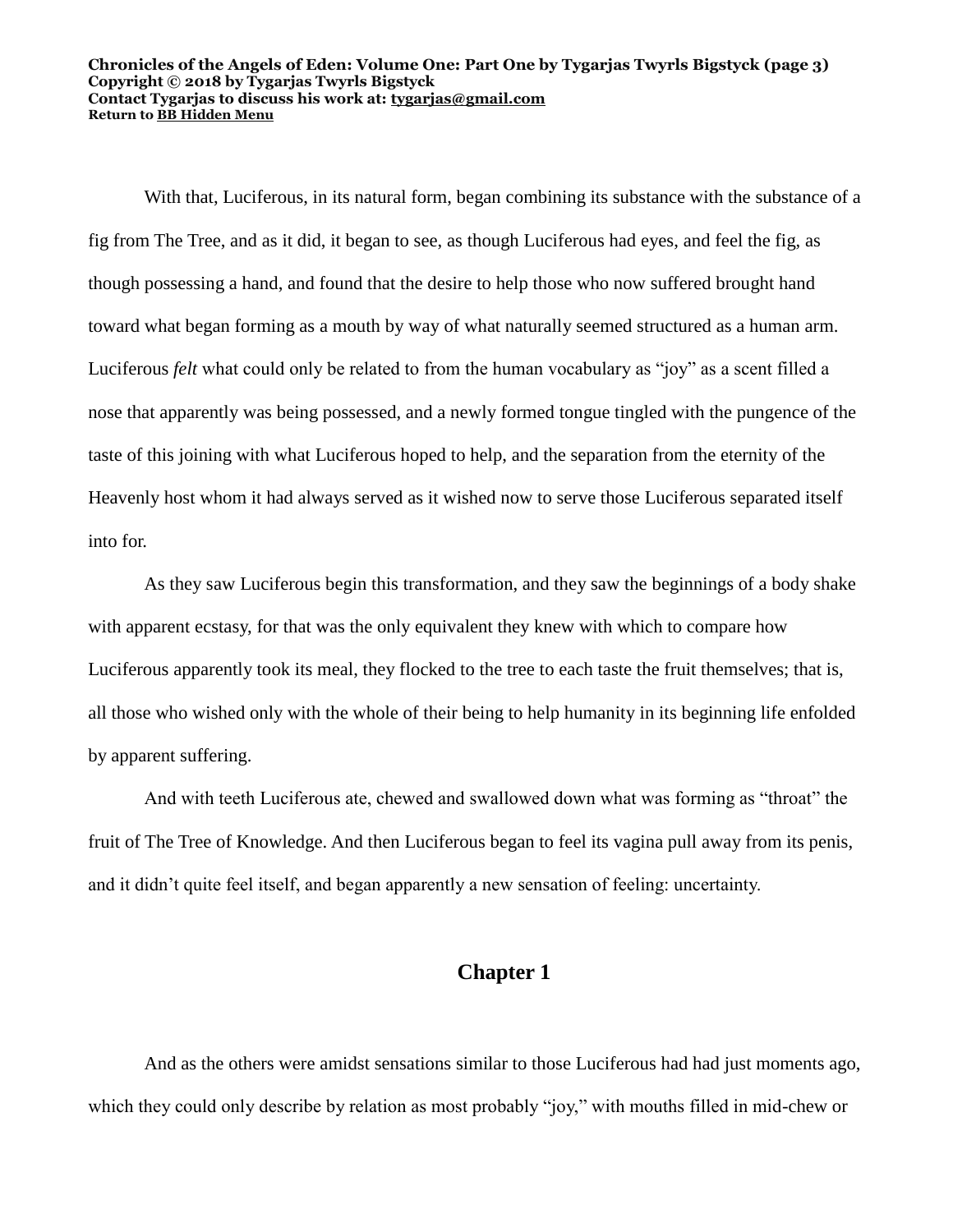#### **Chronicles of the Angels of Eden: Volume One: Part One by Tygarjas Twyrls Bigstyck (page 3) Copyright © 2018 by Tygarjas Twyrls Bigstyck Contact Tygarjas to discuss his work at: [tygarjas@gmail.com](mailto:tygarjas@gmail.com) Return to [BB Hidden Menu](https://www.bartlettbiographies.com/hidden-menu)**

With that, Luciferous, in its natural form, began combining its substance with the substance of a fig from The Tree, and as it did, it began to see, as though Luciferous had eyes, and feel the fig, as though possessing a hand, and found that the desire to help those who now suffered brought hand toward what began forming as a mouth by way of what naturally seemed structured as a human arm. Luciferous *felt* what could only be related to from the human vocabulary as "joy" as a scent filled a nose that apparently was being possessed, and a newly formed tongue tingled with the pungence of the taste of this joining with what Luciferous hoped to help, and the separation from the eternity of the Heavenly host whom it had always served as it wished now to serve those Luciferous separated itself into for.

As they saw Luciferous begin this transformation, and they saw the beginnings of a body shake with apparent ecstasy, for that was the only equivalent they knew with which to compare how Luciferous apparently took its meal, they flocked to the tree to each taste the fruit themselves; that is, all those who wished only with the whole of their being to help humanity in its beginning life enfolded by apparent suffering.

And with teeth Luciferous ate, chewed and swallowed down what was forming as "throat" the fruit of The Tree of Knowledge. And then Luciferous began to feel its vagina pull away from its penis, and it didn't quite feel itself, and began apparently a new sensation of feeling: uncertainty.

### **Chapter 1**

And as the others were amidst sensations similar to those Luciferous had had just moments ago, which they could only describe by relation as most probably "joy," with mouths filled in mid-chew or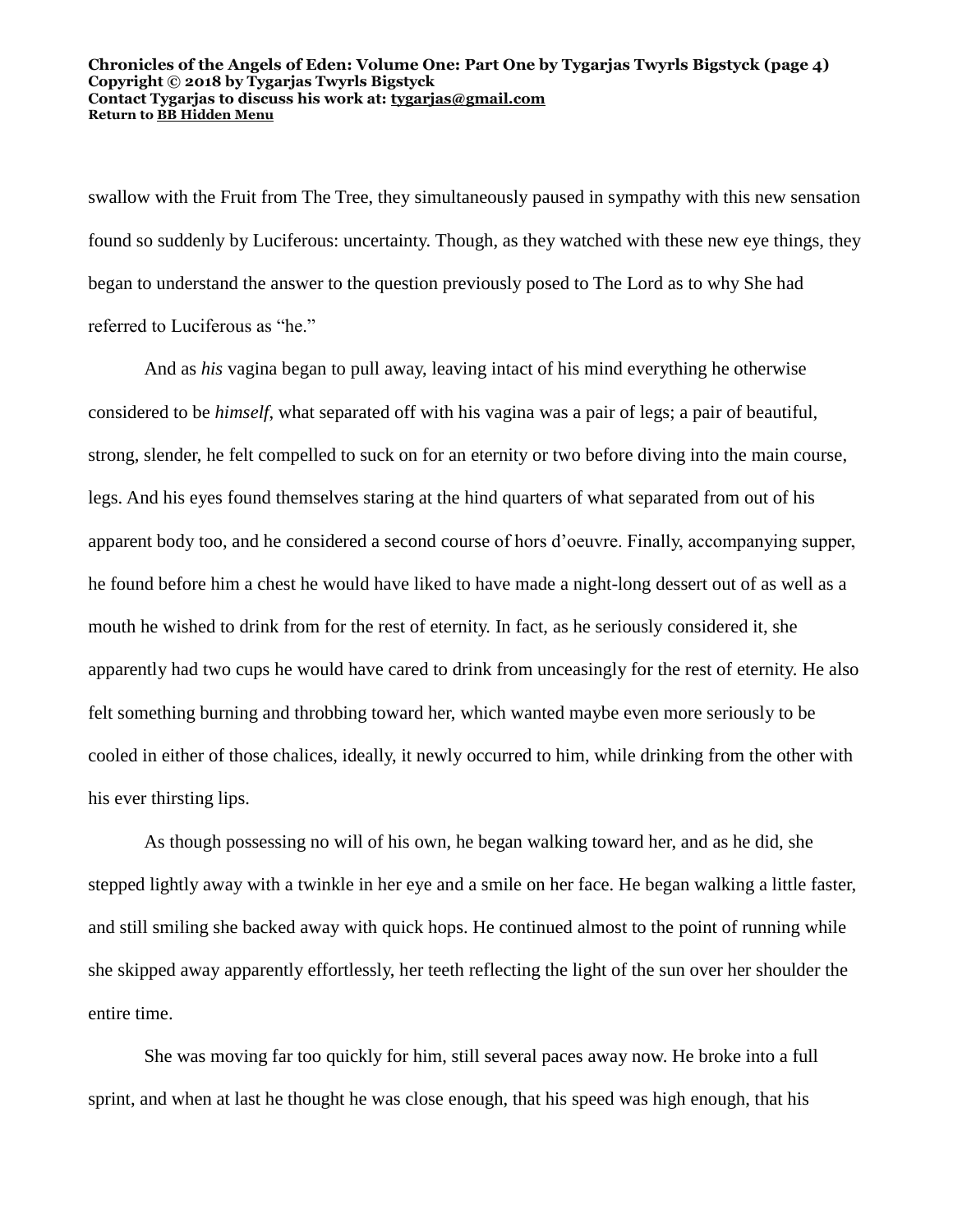#### **Chronicles of the Angels of Eden: Volume One: Part One by Tygarjas Twyrls Bigstyck (page 4) Copyright © 2018 by Tygarjas Twyrls Bigstyck Contact Tygarjas to discuss his work at: [tygarjas@gmail.com](mailto:tygarjas@gmail.com) Return to [BB Hidden Menu](https://www.bartlettbiographies.com/hidden-menu)**

swallow with the Fruit from The Tree, they simultaneously paused in sympathy with this new sensation found so suddenly by Luciferous: uncertainty. Though, as they watched with these new eye things, they began to understand the answer to the question previously posed to The Lord as to why She had referred to Luciferous as "he."

And as *his* vagina began to pull away, leaving intact of his mind everything he otherwise considered to be *himself*, what separated off with his vagina was a pair of legs; a pair of beautiful, strong, slender, he felt compelled to suck on for an eternity or two before diving into the main course, legs. And his eyes found themselves staring at the hind quarters of what separated from out of his apparent body too, and he considered a second course of hors d'oeuvre. Finally, accompanying supper, he found before him a chest he would have liked to have made a night-long dessert out of as well as a mouth he wished to drink from for the rest of eternity. In fact, as he seriously considered it, she apparently had two cups he would have cared to drink from unceasingly for the rest of eternity. He also felt something burning and throbbing toward her, which wanted maybe even more seriously to be cooled in either of those chalices, ideally, it newly occurred to him, while drinking from the other with his ever thirsting lips.

As though possessing no will of his own, he began walking toward her, and as he did, she stepped lightly away with a twinkle in her eye and a smile on her face. He began walking a little faster, and still smiling she backed away with quick hops. He continued almost to the point of running while she skipped away apparently effortlessly, her teeth reflecting the light of the sun over her shoulder the entire time.

She was moving far too quickly for him, still several paces away now. He broke into a full sprint, and when at last he thought he was close enough, that his speed was high enough, that his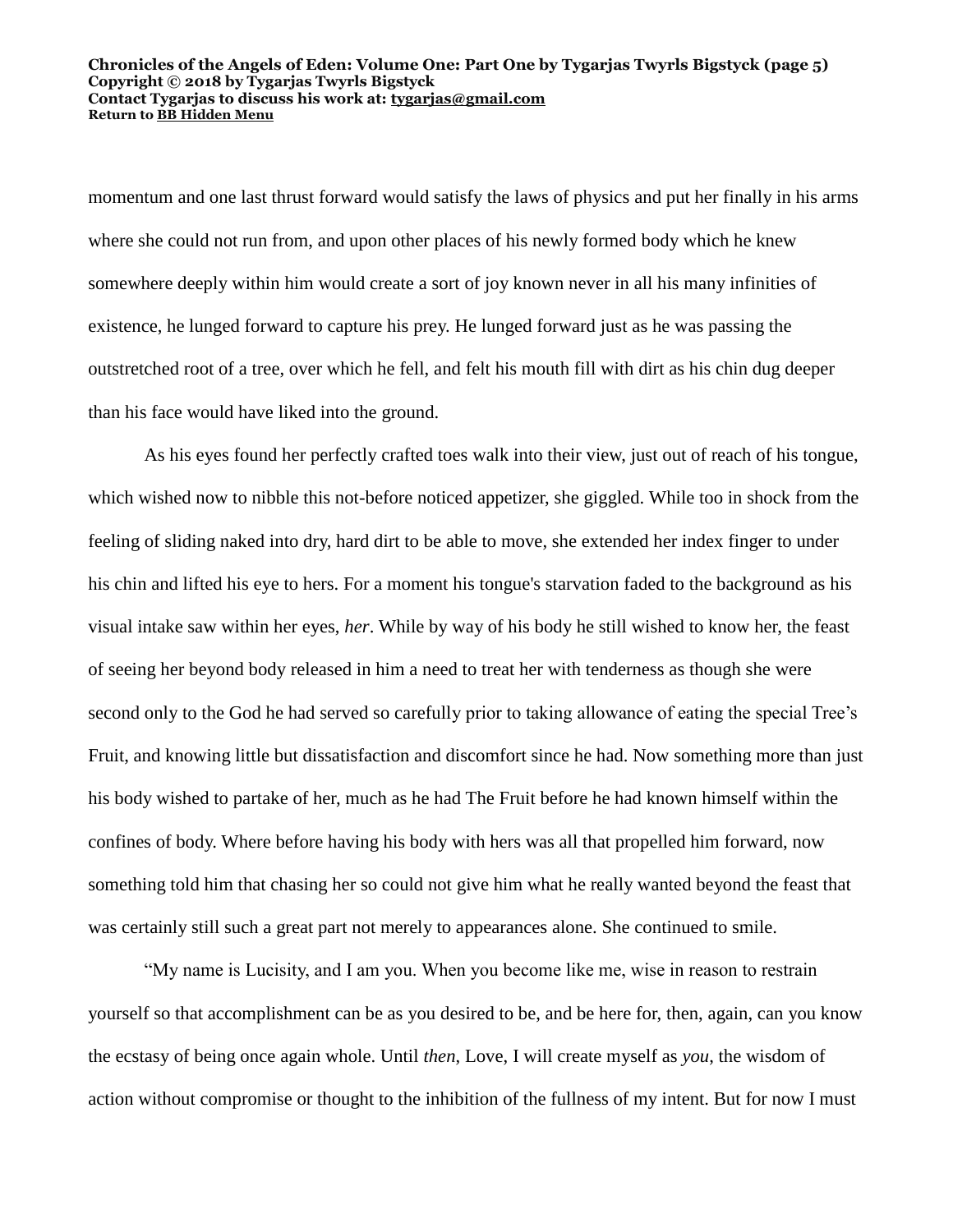#### **Chronicles of the Angels of Eden: Volume One: Part One by Tygarjas Twyrls Bigstyck (page 5) Copyright © 2018 by Tygarjas Twyrls Bigstyck Contact Tygarjas to discuss his work at: [tygarjas@gmail.com](mailto:tygarjas@gmail.com) Return to [BB Hidden Menu](https://www.bartlettbiographies.com/hidden-menu)**

momentum and one last thrust forward would satisfy the laws of physics and put her finally in his arms where she could not run from, and upon other places of his newly formed body which he knew somewhere deeply within him would create a sort of joy known never in all his many infinities of existence, he lunged forward to capture his prey. He lunged forward just as he was passing the outstretched root of a tree, over which he fell, and felt his mouth fill with dirt as his chin dug deeper than his face would have liked into the ground.

As his eyes found her perfectly crafted toes walk into their view, just out of reach of his tongue, which wished now to nibble this not-before noticed appetizer, she giggled. While too in shock from the feeling of sliding naked into dry, hard dirt to be able to move, she extended her index finger to under his chin and lifted his eye to hers. For a moment his tongue's starvation faded to the background as his visual intake saw within her eyes, *her*. While by way of his body he still wished to know her, the feast of seeing her beyond body released in him a need to treat her with tenderness as though she were second only to the God he had served so carefully prior to taking allowance of eating the special Tree's Fruit, and knowing little but dissatisfaction and discomfort since he had. Now something more than just his body wished to partake of her, much as he had The Fruit before he had known himself within the confines of body. Where before having his body with hers was all that propelled him forward, now something told him that chasing her so could not give him what he really wanted beyond the feast that was certainly still such a great part not merely to appearances alone. She continued to smile.

"My name is Lucisity, and I am you. When you become like me, wise in reason to restrain yourself so that accomplishment can be as you desired to be, and be here for, then, again, can you know the ecstasy of being once again whole. Until *then*, Love, I will create myself as *you*, the wisdom of action without compromise or thought to the inhibition of the fullness of my intent. But for now I must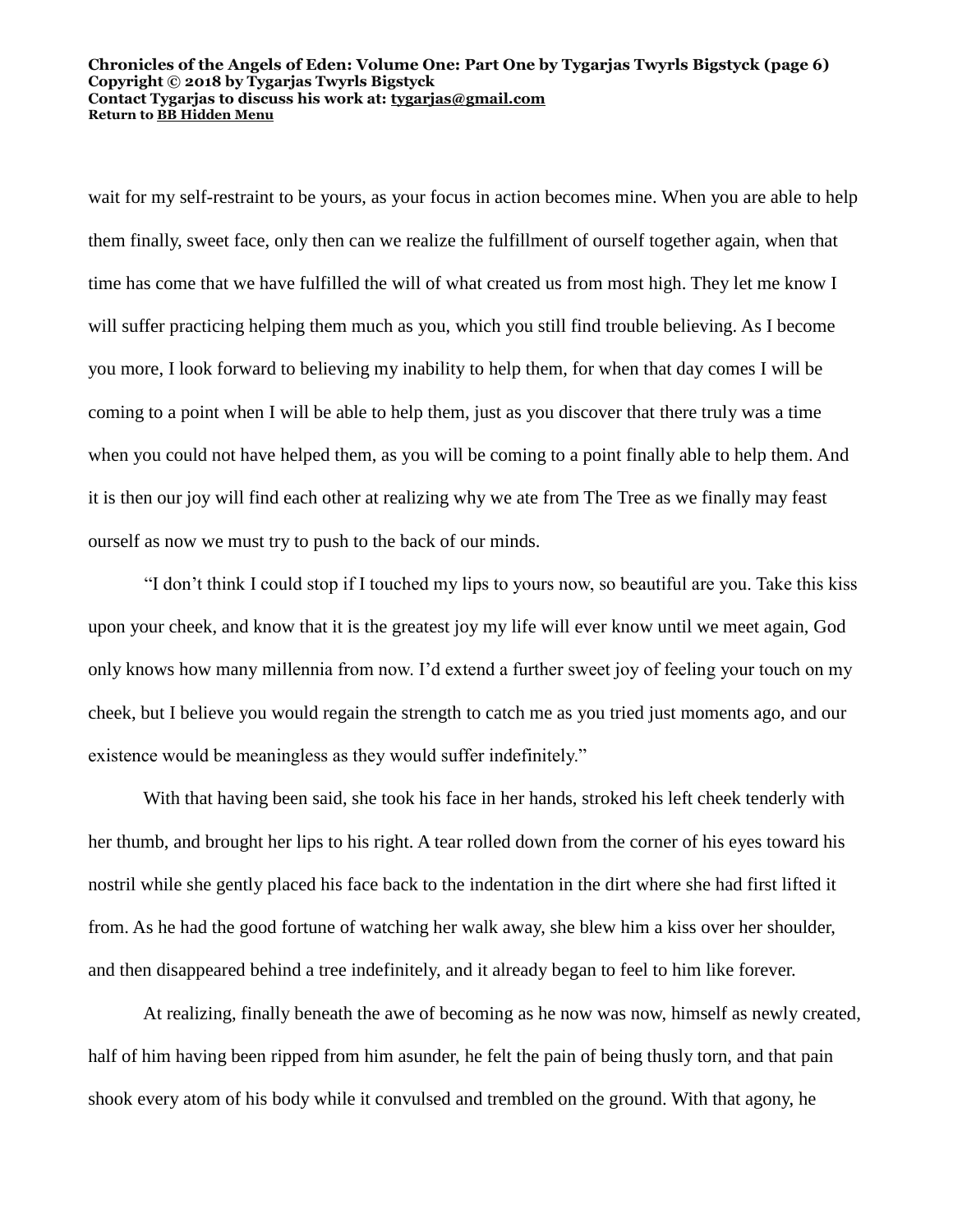#### **Chronicles of the Angels of Eden: Volume One: Part One by Tygarjas Twyrls Bigstyck (page 6) Copyright © 2018 by Tygarjas Twyrls Bigstyck Contact Tygarjas to discuss his work at: [tygarjas@gmail.com](mailto:tygarjas@gmail.com) Return to [BB Hidden Menu](https://www.bartlettbiographies.com/hidden-menu)**

wait for my self-restraint to be yours, as your focus in action becomes mine. When you are able to help them finally, sweet face, only then can we realize the fulfillment of ourself together again, when that time has come that we have fulfilled the will of what created us from most high. They let me know I will suffer practicing helping them much as you, which you still find trouble believing. As I become you more, I look forward to believing my inability to help them, for when that day comes I will be coming to a point when I will be able to help them, just as you discover that there truly was a time when you could not have helped them, as you will be coming to a point finally able to help them. And it is then our joy will find each other at realizing why we ate from The Tree as we finally may feast ourself as now we must try to push to the back of our minds.

"I don't think I could stop if I touched my lips to yours now, so beautiful are you. Take this kiss upon your cheek, and know that it is the greatest joy my life will ever know until we meet again, God only knows how many millennia from now. I'd extend a further sweet joy of feeling your touch on my cheek, but I believe you would regain the strength to catch me as you tried just moments ago, and our existence would be meaningless as they would suffer indefinitely."

With that having been said, she took his face in her hands, stroked his left cheek tenderly with her thumb, and brought her lips to his right. A tear rolled down from the corner of his eyes toward his nostril while she gently placed his face back to the indentation in the dirt where she had first lifted it from. As he had the good fortune of watching her walk away, she blew him a kiss over her shoulder, and then disappeared behind a tree indefinitely, and it already began to feel to him like forever.

At realizing, finally beneath the awe of becoming as he now was now, himself as newly created, half of him having been ripped from him asunder, he felt the pain of being thusly torn, and that pain shook every atom of his body while it convulsed and trembled on the ground. With that agony, he